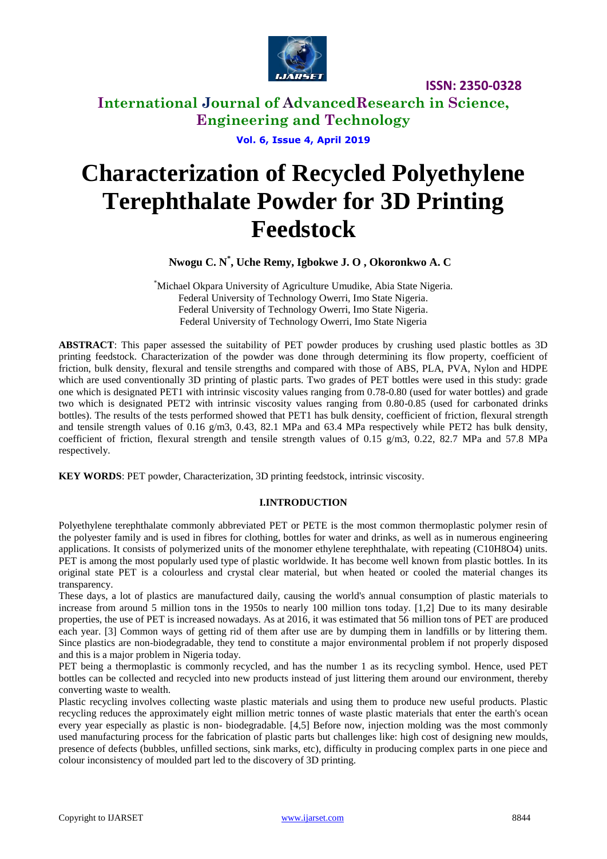

**International Journal of AdvancedResearch in Science, Engineering and Technology**

**Vol. 6, Issue 4, April 2019**

# **Characterization of Recycled Polyethylene Terephthalate Powder for 3D Printing Feedstock**

**Nwogu C. N\* , Uche Remy, Igbokwe J. O , Okoronkwo A. C**

\*Michael Okpara University of Agriculture Umudike, Abia State Nigeria. Federal University of Technology Owerri, Imo State Nigeria. Federal University of Technology Owerri, Imo State Nigeria. Federal University of Technology Owerri, Imo State Nigeria

**ABSTRACT**: This paper assessed the suitability of PET powder produces by crushing used plastic bottles as 3D printing feedstock. Characterization of the powder was done through determining its flow property, coefficient of friction, bulk density, flexural and tensile strengths and compared with those of ABS, PLA, PVA, Nylon and HDPE which are used conventionally 3D printing of plastic parts. Two grades of PET bottles were used in this study: grade one which is designated PET1 with intrinsic viscosity values ranging from 0.78-0.80 (used for water bottles) and grade two which is designated PET2 with intrinsic viscosity values ranging from 0.80-0.85 (used for carbonated drinks bottles). The results of the tests performed showed that PET1 has bulk density, coefficient of friction, flexural strength and tensile strength values of 0.16 g/m3, 0.43, 82.1 MPa and 63.4 MPa respectively while PET2 has bulk density, coefficient of friction, flexural strength and tensile strength values of 0.15 g/m3, 0.22, 82.7 MPa and 57.8 MPa respectively.

**KEY WORDS**: PET powder, Characterization, 3D printing feedstock, intrinsic viscosity.

## **I.INTRODUCTION**

Polyethylene terephthalate commonly abbreviated PET or PETE is the most common thermoplastic polymer resin of the polyester family and is used in fibres for clothing, bottles for water and drinks, as well as in numerous engineering applications. It consists of polymerized units of the monomer ethylene terephthalate, with repeating (C10H8O4) units. PET is among the most popularly used type of plastic worldwide. It has become well known from plastic bottles. In its original state PET is a colourless and crystal clear material, but when heated or cooled the material changes its transparency.

These days, a lot of plastics are manufactured daily, causing the world's annual consumption of plastic materials to increase from around 5 million tons in the 1950s to nearly 100 million tons today. [1,2] Due to its many desirable properties, the use of PET is increased nowadays. As at 2016, it was estimated that 56 million tons of PET are produced each year. [3] Common ways of getting rid of them after use are by dumping them in landfills or by littering them. Since plastics are non-biodegradable, they tend to constitute a major environmental problem if not properly disposed and this is a major problem in Nigeria today.

PET being a thermoplastic is commonly recycled, and has the number 1 as its recycling symbol. Hence, used PET bottles can be collected and recycled into new products instead of just littering them around our environment, thereby converting waste to wealth.

Plastic recycling involves collecting waste plastic materials and using them to produce new useful products. Plastic recycling reduces the approximately eight million metric tonnes of waste plastic materials that enter the earth's ocean every year especially as plastic is non- biodegradable. [4,5] Before now, injection molding was the most commonly used manufacturing process for the fabrication of plastic parts but challenges like: high cost of designing new moulds, presence of defects (bubbles, unfilled sections, sink marks, etc), difficulty in producing complex parts in one piece and colour inconsistency of moulded part led to the discovery of 3D printing.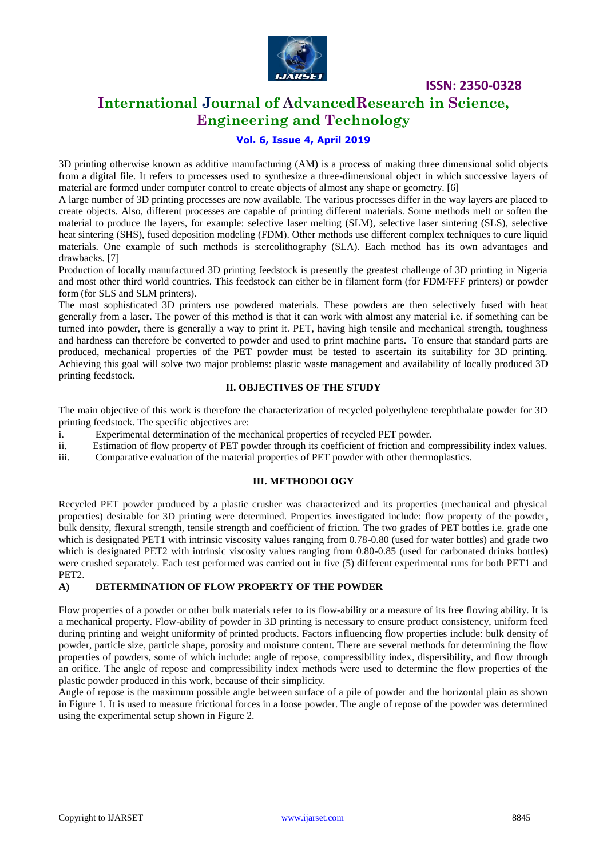

# **International Journal of AdvancedResearch in Science, Engineering and Technology**

## **Vol. 6, Issue 4, April 2019**

3D printing otherwise known as additive manufacturing (AM) is a process of making three dimensional solid objects from a digital file. It refers to processes used to synthesize a three-dimensional object in which successive layers of material are formed under computer control to create objects of almost any shape or geometry. [6]

A large number of 3D printing processes are now available. The various processes differ in the way layers are placed to create objects. Also, different processes are capable of printing different materials. Some methods melt or soften the material to produce the layers, for example: selective laser melting (SLM), selective laser sintering (SLS), selective heat sintering (SHS), fused deposition modeling (FDM). Other methods use different complex techniques to cure liquid materials. One example of such methods is stereolithography (SLA). Each method has its own advantages and drawbacks. [7]

Production of locally manufactured 3D printing feedstock is presently the greatest challenge of 3D printing in Nigeria and most other third world countries. This feedstock can either be in filament form (for FDM/FFF printers) or powder form (for SLS and SLM printers).

The most sophisticated 3D printers use powdered materials. These powders are then selectively fused with heat generally from a laser. The power of this method is that it can work with almost any material i.e. if something can be turned into powder, there is generally a way to print it. PET, having high tensile and mechanical strength, toughness and hardness can therefore be converted to powder and used to print machine parts. To ensure that standard parts are produced, mechanical properties of the PET powder must be tested to ascertain its suitability for 3D printing. Achieving this goal will solve two major problems: plastic waste management and availability of locally produced 3D printing feedstock.

### **II. OBJECTIVES OF THE STUDY**

The main objective of this work is therefore the characterization of recycled polyethylene terephthalate powder for 3D printing feedstock. The specific objectives are:

i. Experimental determination of the mechanical properties of recycled PET powder.

- ii. Estimation of flow property of PET powder through its coefficient of friction and compressibility index values.
- iii. Comparative evaluation of the material properties of PET powder with other thermoplastics.

#### **III. METHODOLOGY**

Recycled PET powder produced by a plastic crusher was characterized and its properties (mechanical and physical properties) desirable for 3D printing were determined. Properties investigated include: flow property of the powder, bulk density, flexural strength, tensile strength and coefficient of friction. The two grades of PET bottles i.e. grade one which is designated PET1 with intrinsic viscosity values ranging from 0.78-0.80 (used for water bottles) and grade two which is designated PET2 with intrinsic viscosity values ranging from 0.80-0.85 (used for carbonated drinks bottles) were crushed separately. Each test performed was carried out in five (5) different experimental runs for both PET1 and PET2.

#### **A) DETERMINATION OF FLOW PROPERTY OF THE POWDER**

Flow properties of a powder or other bulk materials refer to its flow-ability or a measure of its free flowing ability. It is a mechanical property. Flow-ability of powder in 3D printing is necessary to ensure product consistency, uniform feed during printing and weight uniformity of printed products. Factors influencing flow properties include: bulk density of powder, particle size, particle shape, porosity and moisture content. There are several methods for determining the flow properties of powders, some of which include: angle of repose, compressibility index, dispersibility, and flow through an orifice. The angle of repose and compressibility index methods were used to determine the flow properties of the plastic powder produced in this work, because of their simplicity.

Angle of repose is the maximum possible angle between surface of a pile of powder and the horizontal plain as shown in Figure 1. It is used to measure frictional forces in a loose powder. The angle of repose of the powder was determined using the experimental setup shown in Figure 2.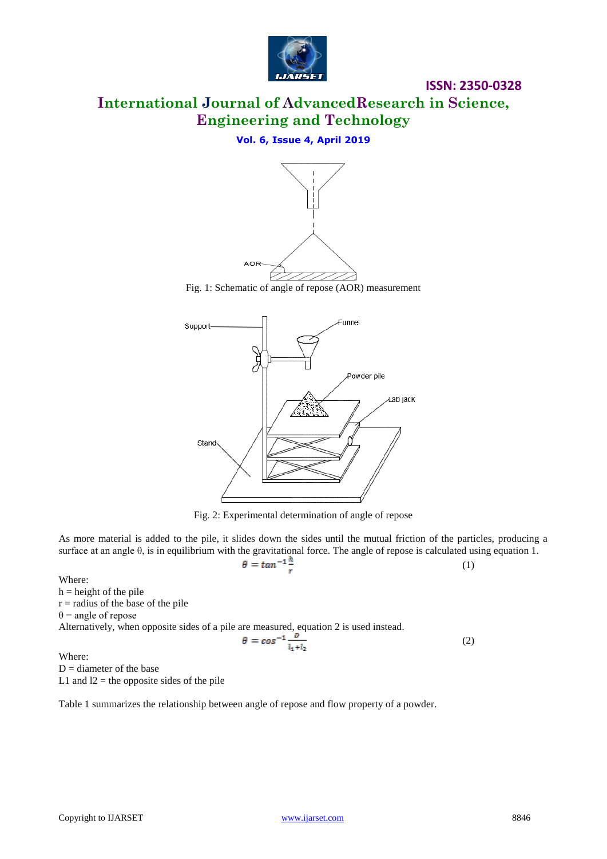

# **International Journal of AdvancedResearch in Science, Engineering and Technology**

**ISSN: 2350-0328**

## **Vol. 6, Issue 4, April 2019**



Fig. 1: Schematic of angle of repose (AOR) measurement



Fig. 2: Experimental determination of angle of repose

As more material is added to the pile, it slides down the sides until the mutual friction of the particles, producing a surface at an angle θ, is in equilibrium with the gravitational force. The angle of repose is calculated using equation 1.<br>  $\theta = \tan^{-1} \frac{\hbar}{r}$  (1) (1)

Where:

 $h =$  height of the pile  $r =$  radius of the base of the pile  $\theta$  = angle of repose Alternatively, when opposite sides of a pile are measured, equation 2 is used instead.

$$
\theta = \cos^{-1} \frac{b}{l_1 + l_2} \tag{2}
$$

Where:  $D =$  diameter of the base L1 and  $12$  = the opposite sides of the pile

Table 1 summarizes the relationship between angle of repose and flow property of a powder.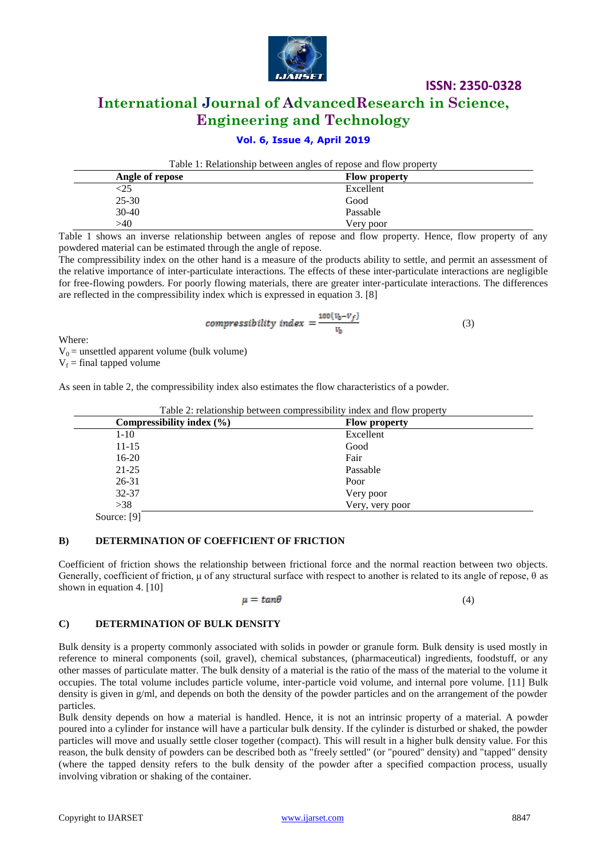

# **International Journal of AdvancedResearch in Science, Engineering and Technology**

## **Vol. 6, Issue 4, April 2019**

Table 1: Relationship between angles of repose and flow property

| Angle of repose | <b>Flow property</b> |
|-----------------|----------------------|
| <25             | Excellent            |
| $25 - 30$       | Good                 |
| $30-40$         | Passable             |
| >40             | Very poor            |

Table 1 shows an inverse relationship between angles of repose and flow property. Hence, flow property of any powdered material can be estimated through the angle of repose.

The compressibility index on the other hand is a measure of the products ability to settle, and permit an assessment of the relative importance of inter-particulate interactions. The effects of these inter-particulate interactions are negligible for free-flowing powders. For poorly flowing materials, there are greater inter-particulate interactions. The differences are reflected in the compressibility index which is expressed in equation 3. [8]

$$
compressibility index = \frac{100(v_0 - v_f)}{v_0}
$$
 (3)

Where:

 $\overline{a}$ 

 $V_0$  = unsettled apparent volume (bulk volume)  $V_f$  = final tapped volume

As seen in table 2, the compressibility index also estimates the flow characteristics of a powder.

| Compressibility index $(\% )$ | <b>Flow property</b> |  |
|-------------------------------|----------------------|--|
| $1 - 10$                      | Excellent            |  |
| $11 - 15$                     | Good                 |  |
| $16-20$                       | Fair                 |  |
| $21 - 25$                     | Passable             |  |
| $26 - 31$                     | Poor                 |  |
| 32-37                         | Very poor            |  |
| >38                           | Very, very poor      |  |
| Source: [9]                   |                      |  |

Table 2: relationship between compressibility index and flow property

#### **B) DETERMINATION OF COEFFICIENT OF FRICTION**

Coefficient of friction shows the relationship between frictional force and the normal reaction between two objects. Generally, coefficient of friction, μ of any structural surface with respect to another is related to its angle of repose, θ as shown in equation 4. [10]

$$
\mu = \tan \theta \tag{4}
$$

#### **C) DETERMINATION OF BULK DENSITY**

Bulk density is a property commonly associated with solids in powder or granule form. Bulk density is used mostly in reference to mineral components (soil, gravel), chemical substances, (pharmaceutical) ingredients, foodstuff, or any other masses of particulate matter. The bulk density of a material is the ratio of the mass of the material to the volume it occupies. The total volume includes particle volume, inter-particle void volume, and internal pore volume. [11] Bulk density is given in g/ml, and depends on both the density of the powder particles and on the arrangement of the powder particles.

Bulk density depends on how a material is handled. Hence, it is not an intrinsic property of a material. A powder poured into a cylinder for instance will have a particular bulk density. If the cylinder is disturbed or shaked, the powder particles will move and usually settle closer together (compact). This will result in a higher bulk density value. For this reason, the bulk density of powders can be described both as "freely settled" (or "poured" density) and "tapped" density (where the tapped density refers to the bulk density of the powder after a specified compaction process, usually involving vibration or shaking of the container.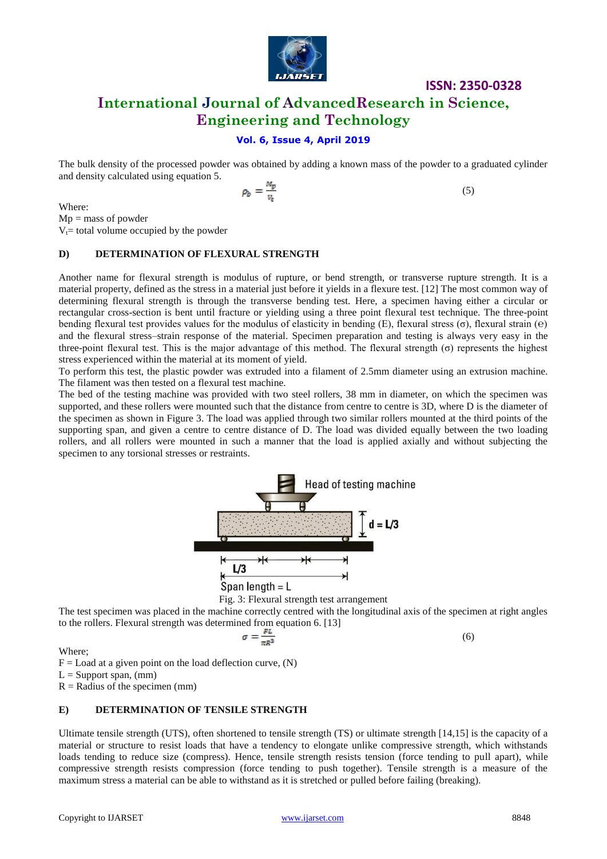

# **International Journal of AdvancedResearch in Science, Engineering and Technology**

## **Vol. 6, Issue 4, April 2019**

The bulk density of the processed powder was obtained by adding a known mass of the powder to a graduated cylinder and density calculated using equation 5.

$$
\rho_b = \frac{M_p}{v_t} \tag{5}
$$

Where:

 $Mp =$  mass of powder

 $V_t$ = total volume occupied by the powder

#### **D) DETERMINATION OF FLEXURAL STRENGTH**

Another name for flexural strength is modulus of rupture, or bend strength, or transverse rupture strength. It is a material property, defined as the stress in a material just before it yields in a flexure test. [12] The most common way of determining flexural strength is through the transverse bending test. Here, a specimen having either a circular or rectangular cross-section is bent until fracture or yielding using a three point flexural test technique. The three-point bending flexural test provides values for the modulus of elasticity in bending (E), flexural stress ( $\sigma$ ), flexural strain ( $\epsilon$ ) and the flexural stress–strain response of the material. Specimen preparation and testing is always very easy in the three-point flexural test. This is the major advantage of this method. The flexural strength (σ) represents the highest stress experienced within the material at its moment of yield.

To perform this test, the plastic powder was extruded into a filament of 2.5mm diameter using an extrusion machine. The filament was then tested on a flexural test machine.

The bed of the testing machine was provided with two steel rollers, 38 mm in diameter, on which the specimen was supported, and these rollers were mounted such that the distance from centre to centre is 3D, where D is the diameter of the specimen as shown in Figure 3. The load was applied through two similar rollers mounted at the third points of the supporting span, and given a centre to centre distance of D. The load was divided equally between the two loading rollers, and all rollers were mounted in such a manner that the load is applied axially and without subjecting the specimen to any torsional stresses or restraints.





The test specimen was placed in the machine correctly centred with the longitudinal axis of the specimen at right angles to the rollers. Flexural strength was determined from equation 6. [13]

$$
\sigma = \frac{FL}{\pi R^3}
$$

(6)

Where;

 $F =$  Load at a given point on the load deflection curve,  $(N)$ 

 $L =$  Support span, (mm)

 $R =$  Radius of the specimen (mm)

#### **E) DETERMINATION OF TENSILE STRENGTH**

Ultimate tensile strength (UTS), often shortened to tensile strength (TS) or ultimate strength [14,15] is the capacity of a material or structure to resist loads that have a tendency to elongate unlike compressive strength, which withstands loads tending to reduce size (compress). Hence, tensile strength resists tension (force tending to pull apart), while compressive strength resists compression (force tending to push together). Tensile strength is a measure of the maximum stress a material can be able to withstand as it is stretched or pulled before failing (breaking).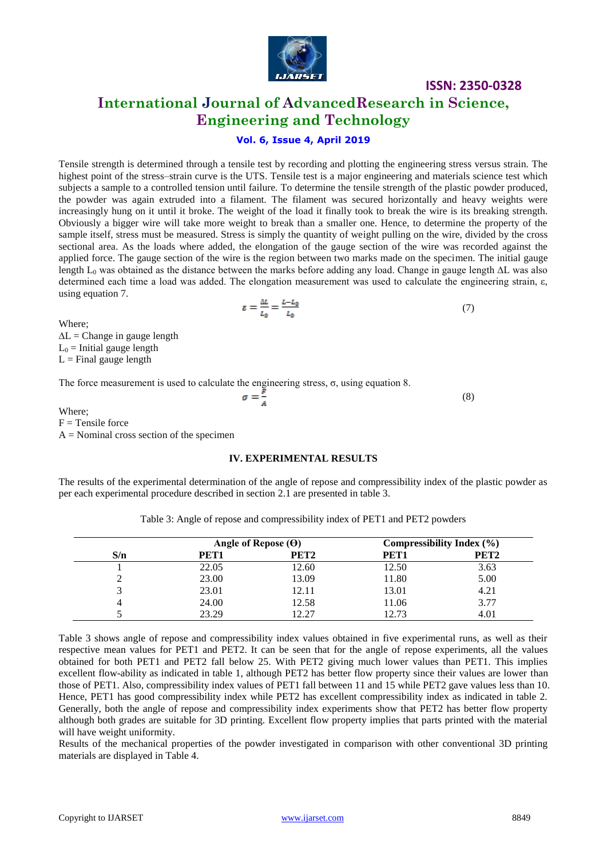

**International Journal of AdvancedResearch in Science, Engineering and Technology**

# **Vol. 6, Issue 4, April 2019**

Tensile strength is determined through a tensile test by recording and plotting the engineering stress versus strain. The highest point of the stress–strain curve is the UTS. Tensile test is a major engineering and materials science test which subjects a sample to a controlled tension until failure. To determine the tensile strength of the plastic powder produced, the powder was again extruded into a filament. The filament was secured horizontally and heavy weights were increasingly hung on it until it broke. The weight of the load it finally took to break the wire is its breaking strength. Obviously a bigger wire will take more weight to break than a smaller one. Hence, to determine the property of the sample itself, stress must be measured. Stress is simply the quantity of weight pulling on the wire, divided by the cross sectional area. As the loads where added, the elongation of the gauge section of the wire was recorded against the applied force. The gauge section of the wire is the region between two marks made on the specimen. The initial gauge length L<sup>0</sup> was obtained as the distance between the marks before adding any load. Change in gauge length ∆L was also determined each time a load was added. The elongation measurement was used to calculate the engineering strain, ε, using equation 7.

$$
\varepsilon = \frac{\Delta L}{L_0} = \frac{L - L_0}{L_0} \tag{7}
$$

Where;

 $\Delta L =$ Change in gauge length  $L_0$  = Initial gauge length  $L =$  Final gauge length

The force measurement is used to calculate the engineering stress, σ, using equation 8.

(8)

Where;  $F =$ Tensile force  $A =$  Nominal cross section of the specimen

#### **IV. EXPERIMENTAL RESULTS**

The results of the experimental determination of the angle of repose and compressibility index of the plastic powder as per each experimental procedure described in section 2.1 are presented in table 3.

| Table 3: Angle of repose and compressibility index of PET1 and PET2 powders |  |  |
|-----------------------------------------------------------------------------|--|--|
|-----------------------------------------------------------------------------|--|--|

|     | Angle of Repose $(\Theta)$ |                  | Compressibility Index $(\% )$ |                  |
|-----|----------------------------|------------------|-------------------------------|------------------|
| S/n | PET1                       | PET <sub>2</sub> | PET1                          | PET <sub>2</sub> |
|     | 22.05                      | 12.60            | 12.50                         | 3.63             |
|     | 23.00                      | 13.09            | 11.80                         | 5.00             |
|     | 23.01                      | 12.11            | 13.01                         | 4.21             |
|     | 24.00                      | 12.58            | 11.06                         | 3.77             |
|     | 23.29                      | 19 97            | 12.73                         |                  |

Table 3 shows angle of repose and compressibility index values obtained in five experimental runs, as well as their respective mean values for PET1 and PET2. It can be seen that for the angle of repose experiments, all the values obtained for both PET1 and PET2 fall below 25. With PET2 giving much lower values than PET1. This implies excellent flow-ability as indicated in table 1, although PET2 has better flow property since their values are lower than those of PET1. Also, compressibility index values of PET1 fall between 11 and 15 while PET2 gave values less than 10. Hence, PET1 has good compressibility index while PET2 has excellent compressibility index as indicated in table 2. Generally, both the angle of repose and compressibility index experiments show that PET2 has better flow property although both grades are suitable for 3D printing. Excellent flow property implies that parts printed with the material will have weight uniformity.

Results of the mechanical properties of the powder investigated in comparison with other conventional 3D printing materials are displayed in Table 4.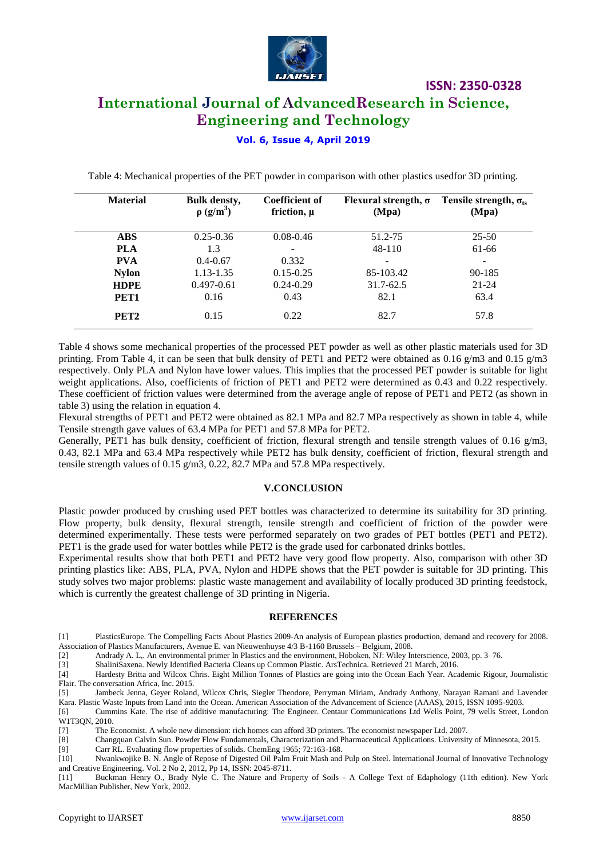

# **International Journal of AdvancedResearch in Science, Engineering and Technology**

## **Vol. 6, Issue 4, April 2019**

Table 4: Mechanical properties of the PET powder in comparison with other plastics usedfor 3D printing.

| <b>Material</b>  | <b>Bulk densty,</b><br>$\rho$ (g/m <sup>3</sup> ) | <b>Coefficient of</b><br>friction, $\mu$ | Flexural strength, $\sigma$<br>(Mpa) | Tensile strength, $\sigma_{ts}$<br>(Mpa) |
|------------------|---------------------------------------------------|------------------------------------------|--------------------------------------|------------------------------------------|
| <b>ABS</b>       | $0.25 - 0.36$                                     | $0.08 - 0.46$                            | 51.2-75                              | $25 - 50$                                |
| <b>PLA</b>       | 1.3                                               |                                          | 48-110                               | 61-66                                    |
| <b>PVA</b>       | $0.4 - 0.67$                                      | 0.332                                    |                                      |                                          |
| <b>Nylon</b>     | 1.13-1.35                                         | $0.15 - 0.25$                            | 85-103.42                            | 90-185                                   |
| <b>HDPE</b>      | $0.497 - 0.61$                                    | $0.24 - 0.29$                            | 31.7-62.5                            | $21 - 24$                                |
| PET <sub>1</sub> | 0.16                                              | 0.43                                     | 82.1                                 | 63.4                                     |
| PET <sub>2</sub> | 0.15                                              | 0.22                                     | 82.7                                 | 57.8                                     |

Table 4 shows some mechanical properties of the processed PET powder as well as other plastic materials used for 3D printing. From Table 4, it can be seen that bulk density of PET1 and PET2 were obtained as 0.16 g/m3 and 0.15 g/m3 respectively. Only PLA and Nylon have lower values. This implies that the processed PET powder is suitable for light weight applications. Also, coefficients of friction of PET1 and PET2 were determined as 0.43 and 0.22 respectively. These coefficient of friction values were determined from the average angle of repose of PET1 and PET2 (as shown in table 3) using the relation in equation 4.

Flexural strengths of PET1 and PET2 were obtained as 82.1 MPa and 82.7 MPa respectively as shown in table 4, while Tensile strength gave values of 63.4 MPa for PET1 and 57.8 MPa for PET2.

Generally, PET1 has bulk density, coefficient of friction, flexural strength and tensile strength values of 0.16  $g/m3$ , 0.43, 82.1 MPa and 63.4 MPa respectively while PET2 has bulk density, coefficient of friction, flexural strength and tensile strength values of 0.15 g/m3, 0.22, 82.7 MPa and 57.8 MPa respectively.

#### **V.CONCLUSION**

Plastic powder produced by crushing used PET bottles was characterized to determine its suitability for 3D printing. Flow property, bulk density, flexural strength, tensile strength and coefficient of friction of the powder were determined experimentally. These tests were performed separately on two grades of PET bottles (PET1 and PET2). PET1 is the grade used for water bottles while PET2 is the grade used for carbonated drinks bottles.

Experimental results show that both PET1 and PET2 have very good flow property. Also, comparison with other 3D printing plastics like: ABS, PLA, PVA, Nylon and HDPE shows that the PET powder is suitable for 3D printing. This study solves two major problems: plastic waste management and availability of locally produced 3D printing feedstock, which is currently the greatest challenge of 3D printing in Nigeria.

#### **REFERENCES**

[1] PlasticsEurope. The Compelling Facts About Plastics 2009-An analysis of European plastics production, demand and recovery for 2008. Association of Plastics Manufacturers, Avenue E. van Nieuwenhuyse 4/3 B-1160 Brussels – Belgium, 2008.

[2] Andrady A. L,. An environmental primer In Plastics and the environment, Hoboken, NJ: Wiley Interscience, 2003, pp. 3–76.

[3] ShaliniSaxena. Newly Identified Bacteria Cleans up Common Plastic. ArsTechnica. Retrieved 21 March, 2016.

[4] Hardesty Britta and Wilcox Chris. Eight Million Tonnes of Plastics are going into the Ocean Each Year. Academic Rigour, Journalistic Flair. The conversation Africa, Inc. 2015.

[5] Jambeck Jenna, Geyer Roland, Wilcox Chris, Siegler Theodore, Perryman Miriam, Andrady Anthony, Narayan Ramani and Lavender

Kara. Plastic Waste Inputs from Land into the Ocean. American Association of the Advancement of Science (AAAS), 2015, ISSN 1095-9203. [6] Cummins Kate. The rise of additive manufacturing: The Engineer. Centaur Communications Ltd Wells Point, 79 wells Street, London W1T3QN, 2010.

[7] The Economist. A whole new dimension: rich homes can afford 3D printers. The economist newspaper Ltd. 2007.

[8] Changquan Calvin Sun. Powder Flow Fundamentals, Characterization and Pharmaceutical Applications. University of Minnesota, 2015.

[9] Carr RL. Evaluating flow properties of solids. ChemEng 1965; 72:163-168.

[10] Nwankwojike B. N. Angle of Repose of Digested Oil Palm Fruit Mash and Pulp on Steel. International Journal of Innovative Technology and Creative Engineering. Vol. 2 No 2, 2012, Pp 14, ISSN: 2045-8711.

[11] Buckman Henry O., Brady Nyle C. The Nature and Property of Soils - A College Text of Edaphology (11th edition). New York MacMillian Publisher, New York, 2002.